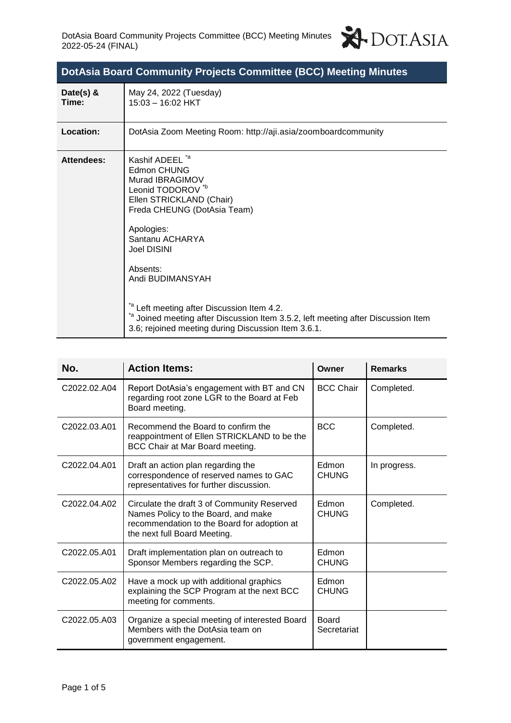

| DotAsia Board Community Projects Committee (BCC) Meeting Minutes |  |  |
|------------------------------------------------------------------|--|--|
|------------------------------------------------------------------|--|--|

| Date(s) $&$<br>Time: | May 24, 2022 (Tuesday)<br>$15:03 - 16:02$ HKT                                                                                                                                                                                                                                                                                                                                                                                                   |
|----------------------|-------------------------------------------------------------------------------------------------------------------------------------------------------------------------------------------------------------------------------------------------------------------------------------------------------------------------------------------------------------------------------------------------------------------------------------------------|
| Location:            | DotAsia Zoom Meeting Room: http://aji.asia/zoomboardcommunity                                                                                                                                                                                                                                                                                                                                                                                   |
| <b>Attendees:</b>    | Kashif ADEEL *a<br><b>Edmon CHUNG</b><br>Murad IBRAGIMOV<br>Leonid TODOROV <sup>*b</sup><br>Ellen STRICKLAND (Chair)<br>Freda CHEUNG (DotAsia Team)<br>Apologies:<br>Santanu ACHARYA<br><b>Joel DISINI</b><br>Absents:<br>Andi BUDIMANSYAH<br><sup>"a</sup> Left meeting after Discussion Item 4.2.<br>*a Joined meeting after Discussion Item 3.5.2, left meeting after Discussion Item<br>3.6; rejoined meeting during Discussion Item 3.6.1. |

| No.          | <b>Action Items:</b>                                                                                                                                              | Owner                       | <b>Remarks</b> |
|--------------|-------------------------------------------------------------------------------------------------------------------------------------------------------------------|-----------------------------|----------------|
| C2022.02.A04 | Report DotAsia's engagement with BT and CN<br>regarding root zone LGR to the Board at Feb<br>Board meeting.                                                       | <b>BCC Chair</b>            | Completed.     |
| C2022.03.A01 | Recommend the Board to confirm the<br>reappointment of Ellen STRICKLAND to be the<br>BCC Chair at Mar Board meeting.                                              | <b>BCC</b>                  | Completed.     |
| C2022.04.A01 | Draft an action plan regarding the<br>correspondence of reserved names to GAC<br>representatives for further discussion.                                          | Edmon<br><b>CHUNG</b>       | In progress.   |
| C2022.04.A02 | Circulate the draft 3 of Community Reserved<br>Names Policy to the Board, and make<br>recommendation to the Board for adoption at<br>the next full Board Meeting. | Edmon<br><b>CHUNG</b>       | Completed.     |
| C2022.05.A01 | Draft implementation plan on outreach to<br>Sponsor Members regarding the SCP.                                                                                    | Edmon<br><b>CHUNG</b>       |                |
| C2022.05.A02 | Have a mock up with additional graphics<br>explaining the SCP Program at the next BCC<br>meeting for comments.                                                    | Edmon<br><b>CHUNG</b>       |                |
| C2022.05.A03 | Organize a special meeting of interested Board<br>Members with the DotAsia team on<br>government engagement.                                                      | <b>Board</b><br>Secretariat |                |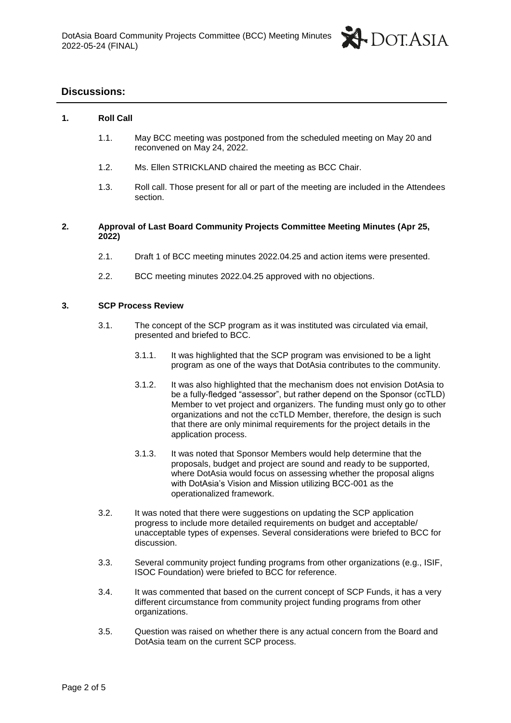

# **Discussions:**

# **1. Roll Call**

- 1.1. May BCC meeting was postponed from the scheduled meeting on May 20 and reconvened on May 24, 2022.
- 1.2. Ms. Ellen STRICKLAND chaired the meeting as BCC Chair.
- 1.3. Roll call. Those present for all or part of the meeting are included in the Attendees section.

# **2. Approval of Last Board Community Projects Committee Meeting Minutes (Apr 25, 2022)**

- 2.1. Draft 1 of BCC meeting minutes 2022.04.25 and action items were presented.
- 2.2. BCC meeting minutes 2022.04.25 approved with no objections.

## **3. SCP Process Review**

- 3.1. The concept of the SCP program as it was instituted was circulated via email, presented and briefed to BCC.
	- 3.1.1. It was highlighted that the SCP program was envisioned to be a light program as one of the ways that DotAsia contributes to the community.
	- 3.1.2. It was also highlighted that the mechanism does not envision DotAsia to be a fully-fledged "assessor", but rather depend on the Sponsor (ccTLD) Member to vet project and organizers. The funding must only go to other organizations and not the ccTLD Member, therefore, the design is such that there are only minimal requirements for the project details in the application process.
	- 3.1.3. It was noted that Sponsor Members would help determine that the proposals, budget and project are sound and ready to be supported, where DotAsia would focus on assessing whether the proposal aligns with DotAsia's Vision and Mission utilizing BCC-001 as the operationalized framework.
- 3.2. It was noted that there were suggestions on updating the SCP application progress to include more detailed requirements on budget and acceptable/ unacceptable types of expenses. Several considerations were briefed to BCC for discussion.
- 3.3. Several community project funding programs from other organizations (e.g., ISIF, ISOC Foundation) were briefed to BCC for reference.
- 3.4. It was commented that based on the current concept of SCP Funds, it has a very different circumstance from community project funding programs from other organizations.
- 3.5. Question was raised on whether there is any actual concern from the Board and DotAsia team on the current SCP process.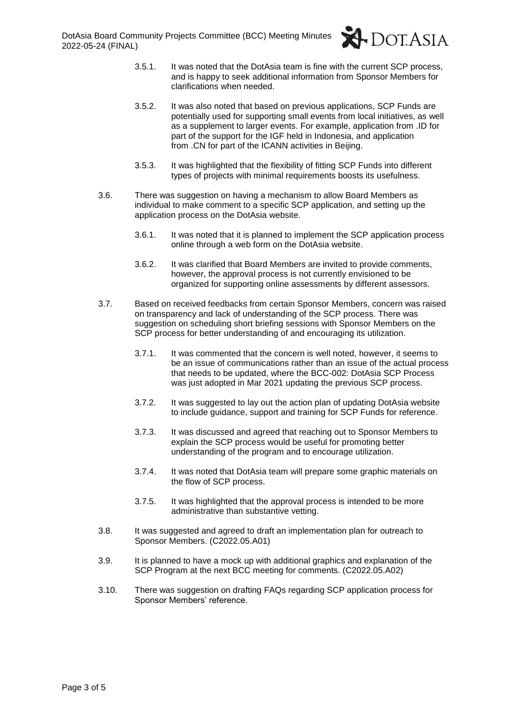

- 3.5.1. It was noted that the DotAsia team is fine with the current SCP process, and is happy to seek additional information from Sponsor Members for clarifications when needed.
- 3.5.2. It was also noted that based on previous applications, SCP Funds are potentially used for supporting small events from local initiatives, as well as a supplement to larger events. For example, application from .ID for part of the support for the IGF held in Indonesia, and application from .CN for part of the ICANN activities in Beijing.
- 3.5.3. It was highlighted that the flexibility of fitting SCP Funds into different types of projects with minimal requirements boosts its usefulness.
- 3.6. There was suggestion on having a mechanism to allow Board Members as individual to make comment to a specific SCP application, and setting up the application process on the DotAsia website.
	- 3.6.1. It was noted that it is planned to implement the SCP application process online through a web form on the DotAsia website.
	- 3.6.2. It was clarified that Board Members are invited to provide comments, however, the approval process is not currently envisioned to be organized for supporting online assessments by different assessors.
- 3.7. Based on received feedbacks from certain Sponsor Members, concern was raised on transparency and lack of understanding of the SCP process. There was suggestion on scheduling short briefing sessions with Sponsor Members on the SCP process for better understanding of and encouraging its utilization.
	- 3.7.1. It was commented that the concern is well noted, however, it seems to be an issue of communications rather than an issue of the actual process that needs to be updated, where the BCC-002: DotAsia SCP Process was just adopted in Mar 2021 updating the previous SCP process.
	- 3.7.2. It was suggested to lay out the action plan of updating DotAsia website to include guidance, support and training for SCP Funds for reference.
	- 3.7.3. It was discussed and agreed that reaching out to Sponsor Members to explain the SCP process would be useful for promoting better understanding of the program and to encourage utilization.
	- 3.7.4. It was noted that DotAsia team will prepare some graphic materials on the flow of SCP process.
	- 3.7.5. It was highlighted that the approval process is intended to be more administrative than substantive vetting.
- 3.8. It was suggested and agreed to draft an implementation plan for outreach to Sponsor Members. (C2022.05.A01)
- 3.9. It is planned to have a mock up with additional graphics and explanation of the SCP Program at the next BCC meeting for comments. (C2022.05.A02)
- 3.10. There was suggestion on drafting FAQs regarding SCP application process for Sponsor Members' reference.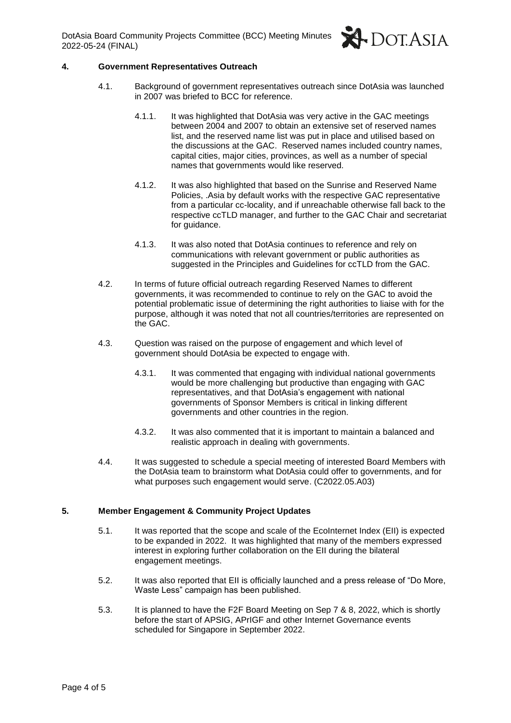DotAsia Board Community Projects Committee (BCC) Meeting Minutes 2022-05-24 (FINAL)



### **4. Government Representatives Outreach**

- 4.1. Background of government representatives outreach since DotAsia was launched in 2007 was briefed to BCC for reference.
	- 4.1.1. It was highlighted that DotAsia was very active in the GAC meetings between 2004 and 2007 to obtain an extensive set of reserved names list, and the reserved name list was put in place and utilised based on the discussions at the GAC. Reserved names included country names, capital cities, major cities, provinces, as well as a number of special names that governments would like reserved.
	- 4.1.2. It was also highlighted that based on the Sunrise and Reserved Name Policies, .Asia by default works with the respective GAC representative from a particular cc-locality, and if unreachable otherwise fall back to the respective ccTLD manager, and further to the GAC Chair and secretariat for guidance.
	- 4.1.3. It was also noted that DotAsia continues to reference and rely on communications with relevant government or public authorities as suggested in the Principles and Guidelines for ccTLD from the GAC.
- 4.2. In terms of future official outreach regarding Reserved Names to different governments, it was recommended to continue to rely on the GAC to avoid the potential problematic issue of determining the right authorities to liaise with for the purpose, although it was noted that not all countries/territories are represented on the GAC.
- 4.3. Question was raised on the purpose of engagement and which level of government should DotAsia be expected to engage with.
	- 4.3.1. It was commented that engaging with individual national governments would be more challenging but productive than engaging with GAC representatives, and that DotAsia's engagement with national governments of Sponsor Members is critical in linking different governments and other countries in the region.
	- 4.3.2. It was also commented that it is important to maintain a balanced and realistic approach in dealing with governments.
- 4.4. It was suggested to schedule a special meeting of interested Board Members with the DotAsia team to brainstorm what DotAsia could offer to governments, and for what purposes such engagement would serve. (C2022.05.A03)

### **5. Member Engagement & Community Project Updates**

- 5.1. It was reported that the scope and scale of the EcoInternet Index (EII) is expected to be expanded in 2022. It was highlighted that many of the members expressed interest in exploring further collaboration on the EII during the bilateral engagement meetings.
- 5.2. It was also reported that EII is officially launched and a press release of "Do More, Waste Less" campaign has been published.
- 5.3. It is planned to have the F2F Board Meeting on Sep 7 & 8, 2022, which is shortly before the start of APSIG, APrIGF and other Internet Governance events scheduled for Singapore in September 2022.